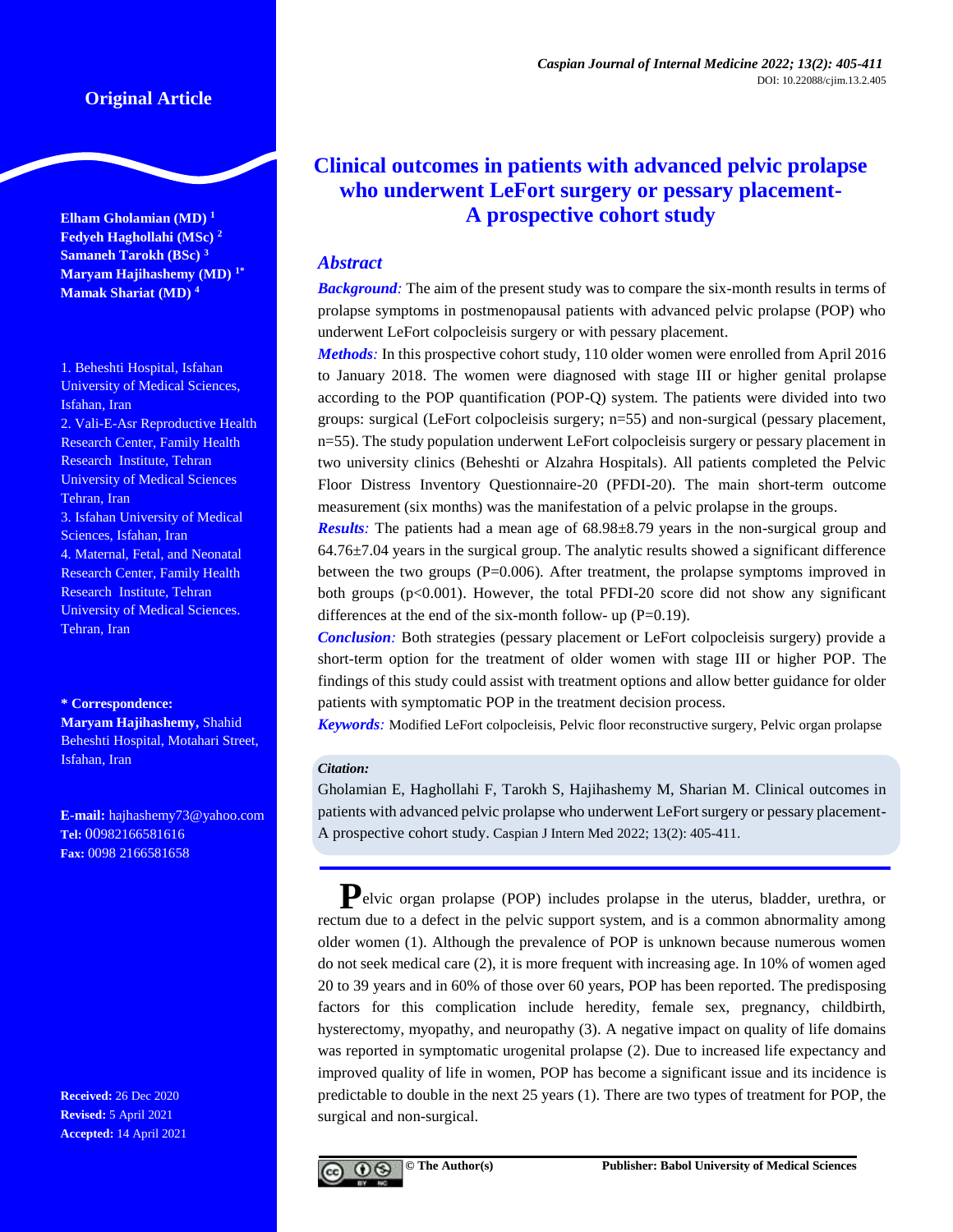**Elham Gholamian (MD) <sup>1</sup> Fedyeh Haghollahi (MSc) <sup>2</sup> Samaneh Tarokh (BSc) <sup>3</sup> Maryam Hajihashemy (MD) 1\* Mamak Shariat (MD) 4**

1. Beheshti Hospital, Isfahan University of Medical Sciences, Isfahan, Iran 2. Vali-E-Asr Reproductive Health Research Center, Family Health Research Institute, Tehran University of Medical Sciences Tehran, Iran 3. Isfahan University of Medical Sciences, Isfahan, Iran 4. Maternal, Fetal, and Neonatal Research Center, Family Health Research Institute, Tehran University of Medical Sciences. Tehran, Iran

**\* Correspondence: Maryam Hajihashemy,** Shahid Beheshti Hospital, Motahari Street, Isfahan, Iran

**E-mail:** [hajhashemy73@yahoo.com](mailto:hajhashemy73@yahoo.com) **Tel:** 00982166581616 **Fax:** 0098 2166581658

**Received:** 26 Dec 2020 **Revised:** 5 April 2021 **Accepted:** 14 April 2021

# **Clinical outcomes in patients with advanced pelvic prolapse who underwent LeFort surgery or pessary placement-A prospective cohort study**

## *Abstract*

*Background:* The aim of the present study was to compare the six-month results in terms of prolapse symptoms in postmenopausal patients with advanced pelvic prolapse (POP) who underwent LeFort colpocleisis surgery or with [pessary](https://www.sciencedirect.com/topics/medicine-and-dentistry/pessary) placement.

*Methods:* In this prospective cohort study, 110 older women were enrolled from April 2016 to January 2018. The women were diagnosed with stage III or higher genital [prolapse](https://www.sciencedirect.com/topics/medicine-and-dentistry/prolapse) according to the POP quantification (POP-Q) system. The patients were divided into two groups: surgical (LeFort colpocleisis surgery; n=55) and non-surgical (pessary placement, n=55). The study population underwent LeFort colpocleisis surgery or pessary placement in two university clinics (Beheshti or Alzahra Hospitals). All patients completed the Pelvic Floor Distress Inventory Questionnaire-20 (PFDI-20). The main short-term outcome measurement (six months) was the manifestation of a pelvic prolapse in the groups.

*Results*: The patients had a mean age of 68.98±8.79 years in the non-surgical group and  $64.76\pm7.04$  years in the surgical group. The analytic results showed a significant difference between the two groups (P=0.006). After treatment, the prolapse symptoms improved in both groups  $(p<0.001)$ . However, the total PFDI-20 score did not show any significant differences at the end of the six-month follow- up  $(P=0.19)$ .

*Conclusion:* Both strategies (pessary placement or LeFort colpocleisis surgery) provide a short-term option for the treatment of older women with stage III or higher POP. The findings of this study could assist with treatment options and allow better guidance for older patients with symptomatic POP in the treatment decision process.

*Keywords:* Modified LeFort colpocleisis, Pelvic floor reconstructive surgery, Pelvic organ prolapse

## *Citation:*

Gholamian E, Haghollahi F, Tarokh S, Hajihashemy M, Sharian M. Clinical outcomes in patients with advanced pelvic prolapse who underwent LeFort surgery or pessary placement-A prospective cohort study. Caspian J Intern Med 2022; 13(2): 405-411.

**P**elvic organ prolapse (POP) includes prolapse in the uterus, bladder, urethra, or rectum due to a defect in the pelvic support system, and is a common abnormality among older women (1). Although the prevalence of POP is unknown because numerous women do not seek medical care [\(2\)](https://link.springer.com/article/10.1007%2Fs00192-016-2991-y#CR2), it is more frequent with increasing age. In 10% of women aged 20 to 39 years and in 60% of those over 60 years, POP has been reported. The predisposing factors for this complication include heredity, female sex, pregnancy, childbirth, hysterectomy, myopathy, and neuropathy (3). A negative impact on quality of life domains was reported in symptomatic urogenital prolapse [\(2\)](https://link.springer.com/article/10.1007%2Fs00192-010-1340-9#CR2). Due to increased life expectancy and improved quality of life in women, POP has become a significant issue and its incidence is predictable to double in the next 25 years (1). There are two types of treatment for POP, the surgical and non-surgical.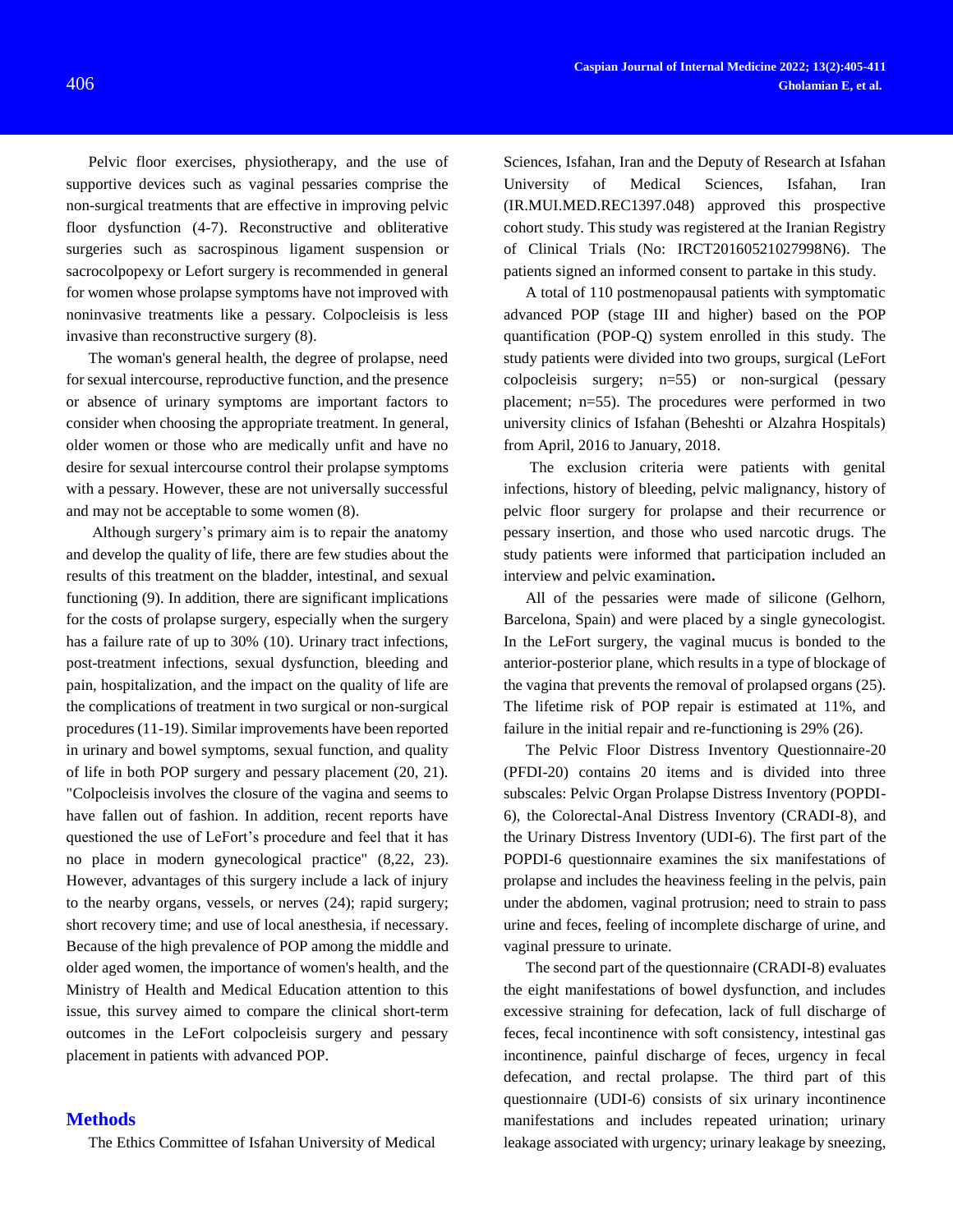Pelvic floor exercises, physiotherapy, and the use of supportive devices such as vaginal pessaries comprise the non-surgical treatments that are effective in improving pelvic floor dysfunction [\(4](https://link.springer.com/article/10.1007%2Fs00192-010-1340-9#CR3)[-7\)](https://link.springer.com/article/10.1007%2Fs00192-010-1340-9#CR6). Reconstructive and obliterative surgeries such as sacrospinous ligament suspension or sacrocolpopexy or Lefort surgery is recommended in general for women whose prolapse symptoms have not improved with noninvasive treatments like a pessary. Colpocleisis is less invasive than reconstructive surgery (8).

The woman's general health, the degree of prolapse, need for sexual intercourse, reproductive function, and the presence or absence of urinary symptoms are important factors to consider when choosing the appropriate treatment. In general, older women or those who are medically unfit and have no desire for sexual intercourse control their prolapse symptoms with a pessary. However, these are not universally successful and may not be acceptable to some women (8).

Although surgery's primary aim is to repair the anatomy and develop the quality of life, there are few studies about the results of this treatment on the bladder, intestinal, and sexual functioning [\(9\)](https://link.springer.com/article/10.1007%2Fs00192-010-1340-9#CR8). In addition, there are significant implications for the costs of prolapse surgery, especially when the surgery has a failure rate of up to 30% [\(10\)](https://link.springer.com/article/10.1007%2Fs00192-010-1340-9#CR9). Urinary tract infections, post-treatment infections, sexual dysfunction, bleeding and pain, hospitalization, and the impact on the quality of life are the complications of treatment in two surgical or non-surgical procedures (11-19). Similar improvements have been reported in urinary and bowel symptoms, sexual function, and quality of life in both POP surgery and pessary placement (20, 21). "Colpocleisis involves the closure of the vagina and seems to have fallen out of fashion. In addition, recent reports have questioned the use of LeFort's procedure and feel that it has no place in modern gynecological practice" ([8,22,](https://link.springer.com/article/10.1007/s10397-004-0006-3#CR10) [23\)](https://link.springer.com/article/10.1007/s10397-004-0006-3#CR11). However, advantages of this surgery include a lack of injury to the nearby organs, vessels, or nerves [\(24\)](https://link.springer.com/article/10.1007/s10397-004-0006-3#CR12); rapid surgery; short recovery time; and use of local anesthesia, if necessary. Because of the high prevalence of POP among the middle and older aged women, the importance of women's health, and the Ministry of Health and Medical Education attention to this issue, this survey aimed to compare the clinical short-term outcomes in the LeFort colpocleisis surgery and pessary placement in patients with advanced POP.

## **Methods**

The Ethics Committee of Isfahan University of Medical

Sciences, Isfahan, Iran and the Deputy of Research at Isfahan University of Medical Sciences, Isfahan, Iran (IR.MUI.MED.REC1397.048) approved this prospective cohort study. This study was registered at the Iranian Registry of Clinical Trials (No: IRCT20160521027998N6). The patients signed an informed consent to partake in this study.

A total of 110 postmenopausal patients with symptomatic advanced POP (stage III and higher) based on the POP quantification (POP-Q) system enrolled in this study. The study patients were divided into two groups, surgical (LeFort colpocleisis surgery; n=55) or non-surgical (pessary placement; n=55). The procedures were performed in two university clinics of Isfahan (Beheshti or Alzahra Hospitals) from April, 2016 to January, 2018.

The exclusion criteria were patients with genital infections, history of bleeding, pelvic malignancy, history of pelvic floor surgery for prolapse and their recurrence or pessary insertion, and those who used narcotic drugs. The study patients were informed that participation included an interview and pelvic examination**.**

All of the pessaries were made of silicone (Gelhorn, Barcelona, Spain) and were placed by a single gynecologist. In the LeFort surgery, the vaginal mucus is bonded to the anterior-posterior plane, which results in a type of blockage of the vagina that prevents the removal of prolapsed organs (25). The lifetime risk of POP repair is estimated at 11%, and failure in the initial repair and re-functioning is 29% (26).

The Pelvic Floor Distress Inventory Questionnaire-20 (PFDI-20) contains 20 items and is divided into three subscales: Pelvic Organ Prolapse Distress Inventory (POPDI-6), the Colorectal-Anal Distress Inventory (CRADI-8), and the Urinary Distress Inventory (UDI-6). The first part of the POPDI-6 questionnaire examines the six manifestations of prolapse and includes the heaviness feeling in the pelvis, pain under the abdomen, vaginal protrusion; need to strain to pass urine and feces, feeling of incomplete discharge of urine, and vaginal pressure to urinate.

The second part of the questionnaire (CRADI-8) evaluates the eight manifestations of bowel dysfunction, and includes excessive straining for defecation, lack of full discharge of feces, fecal incontinence with soft consistency, intestinal gas incontinence, painful discharge of feces, urgency in fecal defecation, and rectal prolapse. The third part of this questionnaire (UDI-6) consists of six urinary incontinence manifestations and includes repeated urination; urinary leakage associated with urgency; urinary leakage by sneezing,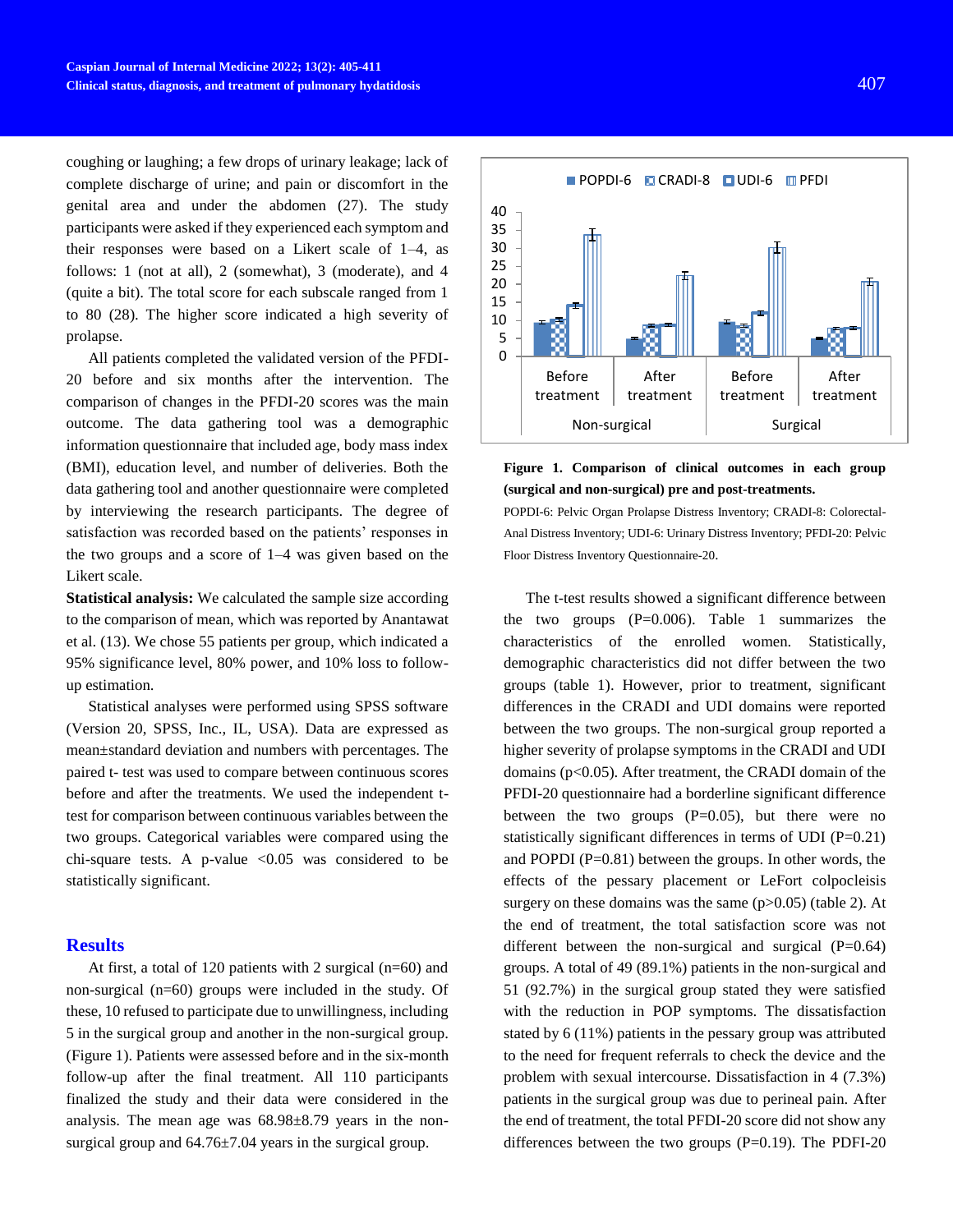coughing or laughing; a few drops of urinary leakage; lack of complete discharge of urine; and pain or discomfort in the genital area and under the abdomen (27). The study participants were asked if they experienced each symptom and their responses were based on a Likert scale of 1–4, as follows: 1 (not at all), 2 (somewhat), 3 (moderate), and 4 (quite a bit). The total score for each subscale ranged from 1 to 80 (28). The higher score indicated a high severity of prolapse.

All patients completed the validated version of the PFDI-20 before and six months after the intervention. The comparison of changes in the PFDI-20 scores was the main outcome. The data gathering tool was a demographic information questionnaire that included age, body mass index (BMI), education level, and number of deliveries. Both the data gathering tool and another questionnaire were completed by interviewing the research participants. The degree of satisfaction was recorded based on the patients' responses in the two groups and a score of 1–4 was given based on the Likert scale.

**Statistical analysis:** We calculated the sample size according to the comparison of mean, which was reported by Anantawat et al. (13). We chose 55 patients per group, which indicated a 95% significance level, 80% power, and 10% loss to followup estimation.

Statistical analyses were performed using SPSS software (Version 20, SPSS, Inc., IL, USA). Data are expressed as mean±standard deviation and numbers with percentages. The paired t- test was used to compare between continuous scores before and after the treatments. We used the independent ttest for comparison between continuous variables between the two groups. Categorical variables were compared using the chi-square tests. A p-value  $\langle 0.05 \rangle$  was considered to be statistically significant.

## **Results**

At first, a total of 120 patients with 2 surgical (n=60) and non-surgical (n=60) groups were included in the study. Of these, 10 refused to participate due to unwillingness, including 5 in the surgical group and another in the non-surgical group. (Figure 1). Patients were assessed before and in the six-month follow-up after the final treatment. All 110 participants finalized the study and their data were considered in the analysis. The mean age was 68.98±8.79 years in the nonsurgical group and 64.76±7.04 years in the surgical group.



**Figure 1. Comparison of clinical outcomes in each group (surgical and non-surgical) pre and post-treatments.**

POPDI-6: Pelvic Organ Prolapse Distress Inventory; CRADI-8: Colorectal-Anal Distress Inventory; UDI-6: Urinary Distress Inventory; PFDI-20: Pelvic Floor Distress Inventory Questionnaire-20.

The t-test results showed a significant difference between the two groups  $(P=0.006)$ . Table 1 summarizes the characteristics of the enrolled women. Statistically, demographic characteristics did not differ between the two groups (table 1). However, prior to treatment, significant differences in the CRADI and UDI domains were reported between the two groups. The non-surgical group reported a higher severity of prolapse symptoms in the CRADI and UDI domains (p<0.05). After treatment, the CRADI domain of the PFDI-20 questionnaire had a borderline significant difference between the two groups  $(P=0.05)$ , but there were no statistically significant differences in terms of UDI (P=0.21) and POPDI (P=0.81) between the groups. In other words, the effects of the pessary placement or LeFort colpocleisis surgery on these domains was the same  $(p>0.05)$  (table 2). At the end of treatment, the total satisfaction score was not different between the non-surgical and surgical  $(P=0.64)$ groups. A total of 49 (89.1%) patients in the non-surgical and 51 (92.7%) in the surgical group stated they were satisfied with the reduction in POP symptoms. The dissatisfaction stated by 6 (11%) patients in the pessary group was attributed to the need for frequent referrals to check the device and the problem with sexual intercourse. Dissatisfaction in 4 (7.3%) patients in the surgical group was due to perineal pain. After the end of treatment, the total PFDI-20 score did not show any differences between the two groups  $(P=0.19)$ . The PDFI-20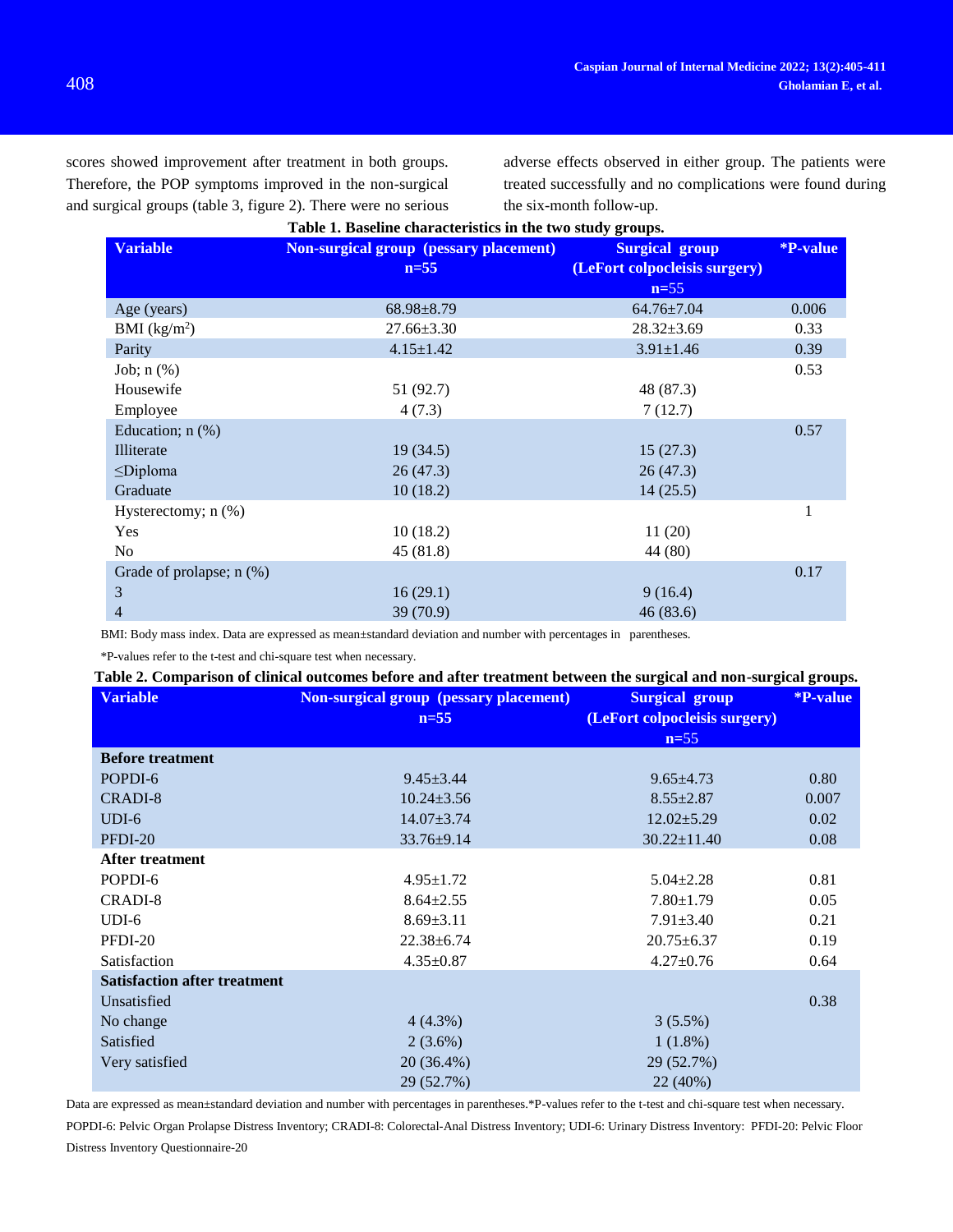scores showed improvement after treatment in both groups. Therefore, the POP symptoms improved in the non-surgical and surgical groups (table 3, figure 2). There were no serious adverse effects observed in either group. The patients were treated successfully and no complications were found during the six-month follow-up.

| Table 1. Baseline characteristics in the two study groups. |                                               |                               |                        |  |  |
|------------------------------------------------------------|-----------------------------------------------|-------------------------------|------------------------|--|--|
| <b>Variable</b>                                            | <b>Non-surgical group (pessary placement)</b> | <b>Surgical group</b>         | <i><b>*P-value</b></i> |  |  |
|                                                            | $n=55$                                        | (LeFort colpocleisis surgery) |                        |  |  |
|                                                            |                                               | $n=55$                        |                        |  |  |
| Age (years)                                                | $68.98 \pm 8.79$                              | $64.76 \pm 7.04$              | 0.006                  |  |  |
| BMI (kg/m <sup>2</sup> )                                   | $27.66 \pm 3.30$                              | $28.32 \pm 3.69$              | 0.33                   |  |  |
| Parity                                                     | $4.15 \pm 1.42$                               | $3.91 \pm 1.46$               | 0.39                   |  |  |
| Job; $n$ $(\%)$                                            |                                               |                               | 0.53                   |  |  |
| Housewife                                                  | 51 (92.7)                                     | 48 (87.3)                     |                        |  |  |
| Employee                                                   | 4(7.3)                                        | 7(12.7)                       |                        |  |  |
| Education; $n$ $(\%)$                                      |                                               |                               | 0.57                   |  |  |
| Illiterate                                                 | 19 (34.5)                                     | 15(27.3)                      |                        |  |  |
| $\leq$ Diploma                                             | 26(47.3)                                      | 26(47.3)                      |                        |  |  |
| Graduate                                                   | 10(18.2)                                      | 14(25.5)                      |                        |  |  |
| Hysterectomy; $n$ $%$ )                                    |                                               |                               | 1                      |  |  |
| Yes                                                        | 10(18.2)                                      | 11(20)                        |                        |  |  |
| No                                                         | 45(81.8)                                      | 44 (80)                       |                        |  |  |
| Grade of prolapse; $n$ $(\%)$                              |                                               |                               | 0.17                   |  |  |
| 3                                                          | 16(29.1)                                      | 9(16.4)                       |                        |  |  |
| 4                                                          | 39 (70.9)                                     | 46 (83.6)                     |                        |  |  |

BMI: Body mass index. Data are expressed as mean±standard deviation and number with percentages in parentheses.

\*P-values refer to the t-test and chi-square test when necessary.

## **Table 2. Comparison of clinical outcomes before and after treatment between the surgical and non-surgical groups.**

| <b>Variable</b>                     | <b>Non-surgical group (pessary placement)</b> | <b>Surgical group</b>         | <b>*P-value</b> |
|-------------------------------------|-----------------------------------------------|-------------------------------|-----------------|
|                                     | $n=55$                                        | (LeFort colpocleisis surgery) |                 |
|                                     |                                               | $n=55$                        |                 |
| <b>Before treatment</b>             |                                               |                               |                 |
| POPDI-6                             | $9.45 \pm 3.44$                               | $9.65 \pm 4.73$               | 0.80            |
| CRADI-8                             | $10.24 \pm 3.56$                              | $8.55 \pm 2.87$               | 0.007           |
| $UDI-6$                             | $14.07 \pm 3.74$                              | $12.02 \pm 5.29$              | 0.02            |
| PFDI-20                             | $33.76 \pm 9.14$                              | $30.22 \pm 11.40$             | 0.08            |
| After treatment                     |                                               |                               |                 |
| POPDI-6                             | $4.95 \pm 1.72$                               | $5.04 \pm 2.28$               | 0.81            |
| CRADI-8                             | $8.64 \pm 2.55$                               | $7.80 \pm 1.79$               | 0.05            |
| $UDI-6$                             | $8.69 \pm 3.11$                               | $7.91 \pm 3.40$               | 0.21            |
| PFDI-20                             | $22.38 \pm 6.74$                              | $20.75 \pm 6.37$              | 0.19            |
| Satisfaction                        | $4.35 \pm 0.87$                               | $4.27 \pm 0.76$               | 0.64            |
| <b>Satisfaction after treatment</b> |                                               |                               |                 |
| Unsatisfied                         |                                               |                               | 0.38            |
| No change                           | $4(4.3\%)$                                    | 3(5.5%)                       |                 |
| Satisfied                           | $2(3.6\%)$                                    | $1(1.8\%)$                    |                 |
| Very satisfied                      | 20 (36.4%)                                    | 29 (52.7%)                    |                 |
|                                     | 29 (52.7%)                                    | 22 (40%)                      |                 |

Data are expressed as mean±standard deviation and number with percentages in parentheses.\*P-values refer to the t-test and chi-square test when necessary.

POPDI-6: Pelvic Organ Prolapse Distress Inventory; CRADI-8: Colorectal-Anal Distress Inventory; UDI-6: Urinary Distress Inventory: PFDI-20: Pelvic Floor Distress Inventory Questionnaire-20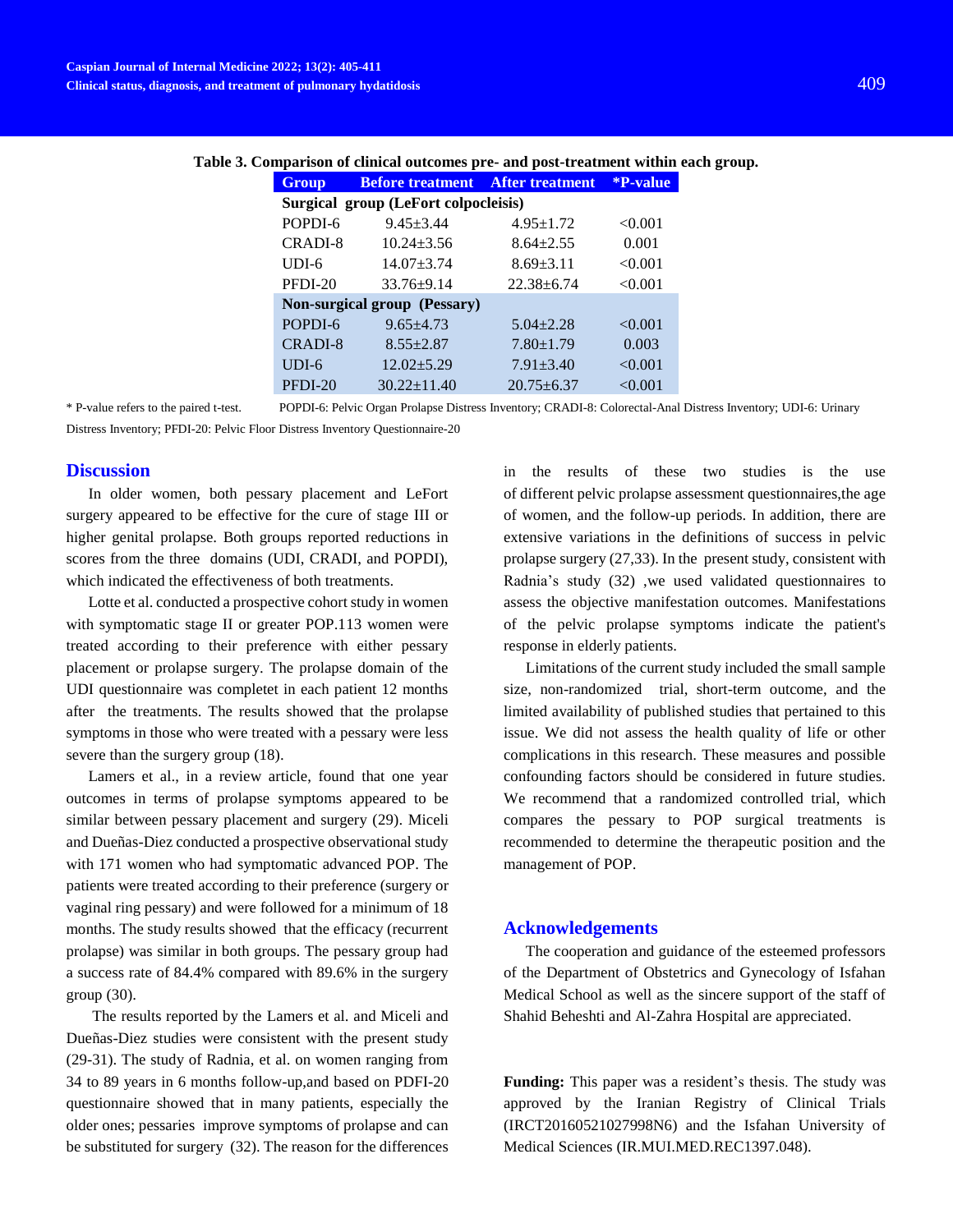| <b>Group</b>                         | <b>Before treatment</b> After treatment |                  | <b>*P-value</b> |  |  |
|--------------------------------------|-----------------------------------------|------------------|-----------------|--|--|
| Surgical group (LeFort colpocleisis) |                                         |                  |                 |  |  |
| POPDI-6                              | $9.45 + 3.44$                           | $4.95 \pm 1.72$  | < 0.001         |  |  |
| CRADI-8                              | $10.24 + 3.56$                          | $8.64 \pm 2.55$  | 0.001           |  |  |
| $UDI-6$                              | $14.07 + 3.74$                          | $8.69 + 3.11$    | < 0.001         |  |  |
| PFDI-20                              | $33.76 \pm 9.14$                        | $22.38 \pm 6.74$ | < 0.001         |  |  |
| <b>Non-surgical group (Pessary)</b>  |                                         |                  |                 |  |  |
| POPDI-6                              | $9.65 + 4.73$                           | $5.04 + 2.28$    | < 0.001         |  |  |
| <b>CRADI-8</b>                       | $8.55 \pm 2.87$                         | $7.80 \pm 1.79$  | 0.003           |  |  |
| $UDI-6$                              | $12.02 + 5.29$                          | $7.91 + 3.40$    | < 0.001         |  |  |
| PFDI-20                              | $30.22 \pm 11.40$                       | $20.75 + 6.37$   | < 0.001         |  |  |

#### **Table 3. Comparison of clinical outcomes pre- and post-treatment within each group.**

\* P-value refers to the paired t-test. POPDI-6: Pelvic Organ Prolapse Distress Inventory; CRADI-8: Colorectal-Anal Distress Inventory; UDI-6: Urinary Distress Inventory; PFDI-20: Pelvic Floor Distress Inventory Questionnaire-20

## **Discussion**

In older women, both pessary placement and LeFort surgery appeared to be effective for the cure of stage III or higher genital prolapse. Both groups reported reductions in scores from the three domains (UDI, CRADI, and POPDI), which indicated the effectiveness of both treatments.

Lotte et al. conducted a prospective cohort study in women with symptomatic stage II or greater POP.113 women were treated according to their preference with either pessary placement or prolapse surgery. The prolapse domain of the UDI questionnaire was completet in each patient 12 months after the treatments. The results showed that the prolapse symptoms in those who were treated with a pessary were less severe than the surgery group (18).

Lamers et al., in a review article, found that one year outcomes in terms of prolapse symptoms appeared to be similar between pessary placement and surgery (29). [Miceli](https://www.ncbi.nlm.nih.gov/pubmed/?term=Miceli%20A%5BAuthor%5D&cauthor=true&cauthor_uid=30863947) and Dueñas-Diez conducted a prospective observational study with 171 women who had symptomatic advanced POP. The patients were treated according to their preference (surgery or vaginal ring pessary) and were followed for a minimum of 18 months. The study results showed that the efficacy (recurrent prolapse) was similar in both groups. The pessary group had a success rate of 84.4% compared with 89.6% in the surgery group (30).

The results reported by the Lamers et al. and Miceli and Dueñas-Diez studies were consistent with the present study (29-31). The study of Radnia, et al. on women ranging from 34 to 89 years in 6 months follow-up,and based on PDFI-20 questionnaire showed that in many patients, especially the older ones; pessaries improve symptoms of prolapse and can be substituted for surgery (32). The reason for the differences in the results of these two studies is the use of different pelvic prolapse assessment questionnaires,the age of women, and the follow-up periods. In addition, there are extensive variations in the definitions of success in pelvic prolapse surgery (27,33). In the present study, consistent with Radnia's study (32) ,we used validated questionnaires to assess the objective manifestation outcomes. Manifestations of the pelvic prolapse symptoms indicate the patient's response in elderly patients.

Limitations of the current study included the small sample size, non-randomized trial, short-term outcome, and the limited availability of published studies that pertained to this issue. We did not assess the health quality of life or other complications in this research. These measures and possible confounding factors should be considered in future studies. We recommend that a randomized controlled trial, which compares the pessary to POP surgical treatments is recommended to determine the therapeutic position and the management of POP.

#### **Acknowledgements**

The cooperation and guidance of the esteemed professors of the Department of Obstetrics and Gynecology of Isfahan Medical School as well as the sincere support of the staff of Shahid Beheshti and Al-Zahra Hospital are appreciated.

**Funding:** This paper was a resident's thesis. The study was approved by the Iranian Registry of Clinical Trials (IRCT20160521027998N6) and the Isfahan University of Medical Sciences (IR.MUI.MED.REC1397.048).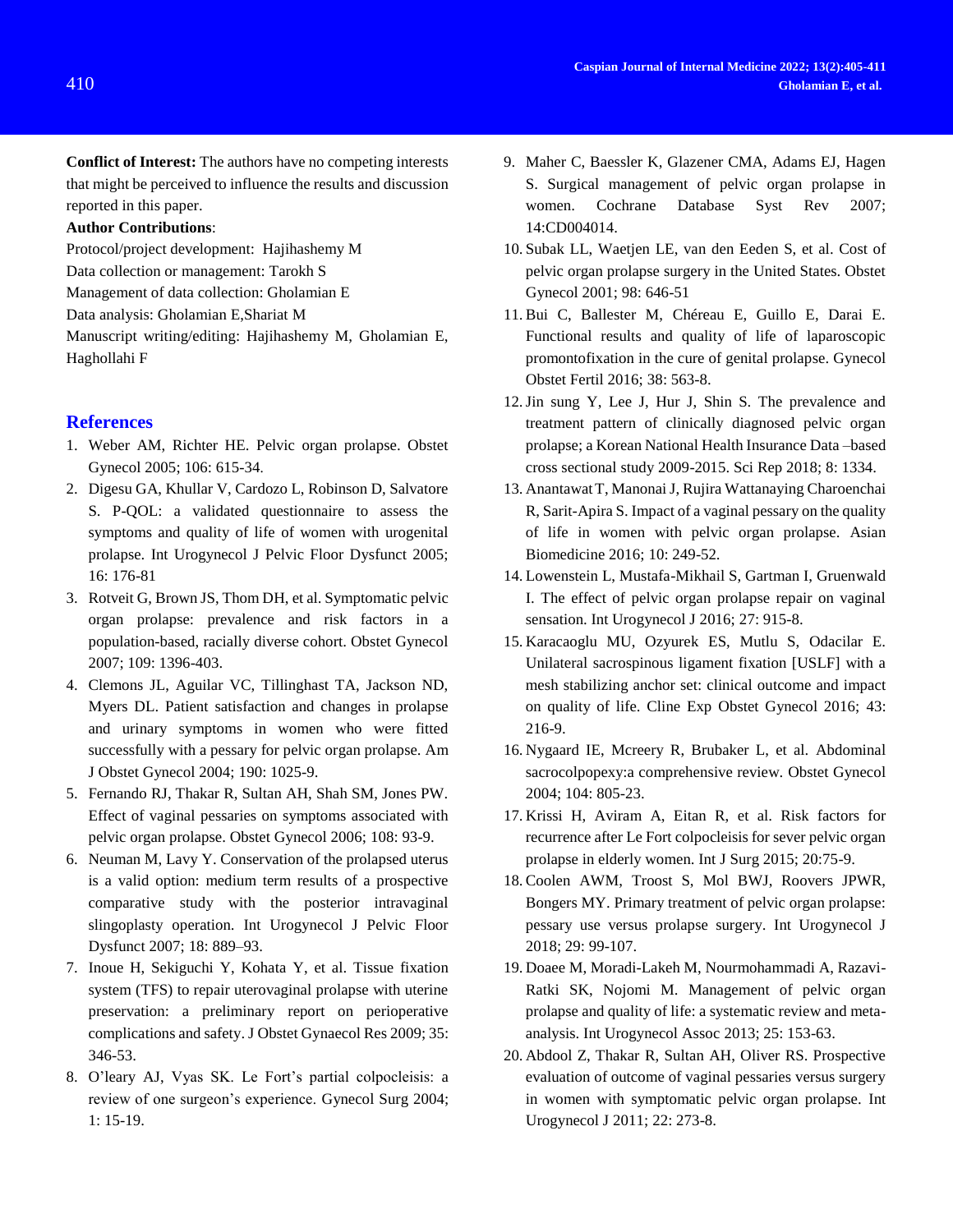**Conflict of Interest:** The authors have no competing interests that might be perceived to influence the results and discussion reported in this paper.

## **Author Contributions**:

Protocol/project development: Hajihashemy M Data collection or management: Tarokh S Management of data collection: Gholamian E

Data analysis: Gholamian E,Shariat M

Manuscript writing/editing: Hajihashemy M, Gholamian E, Haghollahi F

## **References**

- 1. Weber AM, Richter HE. Pelvic organ prolapse. Obstet Gynecol 2005; 106: 615-34.
- 2. Digesu GA, Khullar V, Cardozo L, Robinson D, Salvatore S. P-QOL: a validated questionnaire to assess the symptoms and quality of life of women with urogenital prolapse. Int Urogynecol J Pelvic Floor Dysfunct 2005; 16: 176-81
- 3. Rotveit G, Brown JS, Thom DH, et al. Symptomatic pelvic organ prolapse: prevalence and risk factors in a population-based, racially diverse cohort. Obstet Gynecol 2007; 109: 1396-403.
- 4. Clemons JL, Aguilar VC, Tillinghast TA, Jackson ND, Myers DL. Patient satisfaction and changes in prolapse and urinary symptoms in women who were fitted successfully with a pessary for pelvic organ prolapse. Am J Obstet Gynecol 2004; 190: 1025-9.
- 5. Fernando RJ, Thakar R, Sultan AH, Shah SM, Jones PW. Effect of vaginal pessaries on symptoms associated with pelvic organ prolapse. Obstet Gynecol 2006; 108: 93-9.
- 6. Neuman M, Lavy Y. Conservation of the prolapsed uterus is a valid option: medium term results of a prospective comparative study with the posterior intravaginal slingoplasty operation. Int Urogynecol J Pelvic Floor Dysfunct 2007; 18: 889–93.
- 7. Inoue H, Sekiguchi Y, Kohata Y, et al. Tissue fixation system (TFS) to repair uterovaginal prolapse with uterine preservation: a preliminary report on perioperative complications and safety. J Obstet Gynaecol Res 2009; 35: 346-53.
- 8. O'leary AJ, Vyas SK. Le Fort's partial colpocleisis: a review of one surgeon's experience. Gynecol Surg 2004; 1: 15-19.
- 9. Maher C, Baessler K, Glazener CMA, Adams EJ, Hagen S. Surgical management of pelvic organ prolapse in women. Cochrane Database Syst Rev 2007; 14:CD004014.
- 10. Subak LL, Waetjen LE, van den Eeden S, et al. Cost of pelvic organ prolapse surgery in the United States. Obstet Gynecol 2001; 98: 646-51
- 11. Bui C, Ballester M, Chéreau E, Guillo E, Darai E. Functional results and quality of life of laparoscopic promontofixation in the cure of genital prolapse. Gynecol Obstet Fertil 2016; 38: 563-8.
- 12.Jin sung Y, Lee J, Hur J, Shin S. The prevalence and treatment pattern of clinically diagnosed pelvic organ prolapse; a Korean National Health Insurance Data –based cross sectional study 2009-2015. Sci Rep 2018; 8: 1334.
- 13. AnantawatT, Manonai J, Rujira Wattanaying Charoenchai R, Sarit-Apira S. Impact of a vaginal pessary on the quality of life in women with pelvic organ prolapse. Asian Biomedicine 2016; 10: 249-52.
- 14. Lowenstein L, Mustafa-Mikhail S, Gartman I, Gruenwald I. The effect of pelvic organ prolapse repair on vaginal sensation. Int Urogynecol J 2016; 27: 915-8.
- 15. Karacaoglu MU, Ozyurek ES, Mutlu S, Odacilar E. Unilateral sacrospinous ligament fixation [USLF] with a mesh stabilizing anchor set: clinical outcome and impact on quality of life. Cline Exp Obstet Gynecol 2016; 43: 216-9.
- 16. Nygaard IE, Mcreery R, Brubaker L, et al. Abdominal sacrocolpopexy:a comprehensive review. Obstet Gynecol 2004; 104: 805-23.
- 17. Krissi H, Aviram A, Eitan R, et al. Risk factors for recurrence after Le Fort colpocleisis for sever pelvic organ prolapse in elderly women. Int J Surg 2015; 20:75-9.
- 18. Coolen AWM, Troost S, Mol BWJ, Roovers JPWR, Bongers MY. Primary treatment of pelvic organ prolapse: pessary use versus prolapse surgery. Int Urogynecol J 2018; 29: 99-107.
- 19. Doaee M, Moradi-Lakeh M, Nourmohammadi A, Razavi-Ratki SK, Nojomi M. Management of pelvic organ prolapse and quality of life: a systematic review and metaanalysis. Int Urogynecol Assoc 2013; 25: 153-63.
- 20. Abdool Z, Thakar R, Sultan AH, Oliver RS. Prospective evaluation of outcome of vaginal pessaries versus surgery in women with symptomatic pelvic organ prolapse. Int Urogynecol J 2011; 22: 273-8.